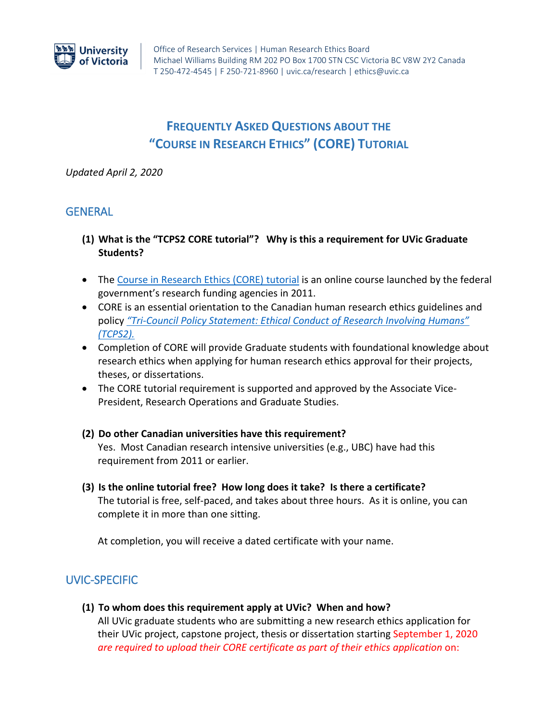

# **FREQUENTLY ASKED QUESTIONS ABOUT THE "COURSE IN RESEARCH ETHICS" (CORE) TUTORIAL**

*Updated April 2, 2020*

# **GENERAL**

- **(1) What is the "TCPS2 CORE tutorial"? Why is this a requirement for UVic Graduate Students?**
- The [Course in Research Ethics \(CORE\)](https://tcps2core.ca/welcome) tutorial is an online course launched by the federal government's research funding agencies in 2011.
- CORE is an essential orientation to the Canadian human research ethics guidelines and policy *"Tri-[Council Policy Statement: Ethical Conduct of Research Involving Humans"](https://ethics.gc.ca/eng/home.html)  [\(TCPS2\).](https://ethics.gc.ca/eng/home.html)*
- Completion of CORE will provide Graduate students with foundational knowledge about research ethics when applying for human research ethics approval for their projects, theses, or dissertations.
- The CORE tutorial requirement is supported and approved by the Associate Vice-President, Research Operations and Graduate Studies.
- **(2) Do other Canadian universities have this requirement?**  Yes. Most Canadian research intensive universities (e.g., UBC) have had this requirement from 2011 or earlier.
- **(3) Is the online tutorial free? How long does it take? Is there a certificate?** The tutorial is free, self-paced, and takes about three hours. As it is online, you can complete it in more than one sitting.

At completion, you will receive a dated certificate with your name.

# UVIC-SPECIFIC

**(1) To whom does this requirement apply at UVic? When and how?**

All UVic graduate students who are submitting a new research ethics application for their UVic project, capstone project, thesis or dissertation starting September 1, 2020 *are required to upload their CORE certificate as part of their ethics application* on: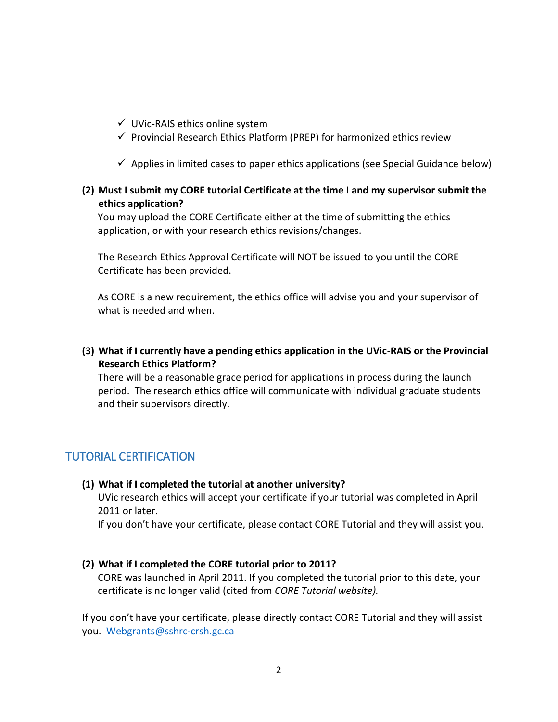- $\checkmark$  UVic-RAIS ethics online system
- $\checkmark$  Provincial Research Ethics Platform (PREP) for harmonized ethics review
- $\checkmark$  Applies in limited cases to paper ethics applications (see Special Guidance below)

#### **(2) Must I submit my CORE tutorial Certificate at the time I and my supervisor submit the ethics application?**

You may upload the CORE Certificate either at the time of submitting the ethics application, or with your research ethics revisions/changes.

The Research Ethics Approval Certificate will NOT be issued to you until the CORE Certificate has been provided.

As CORE is a new requirement, the ethics office will advise you and your supervisor of what is needed and when.

**(3) What if I currently have a pending ethics application in the UVic-RAIS or the Provincial Research Ethics Platform?**

There will be a reasonable grace period for applications in process during the launch period. The research ethics office will communicate with individual graduate students and their supervisors directly.

# TUTORIAL CERTIFICATION

#### **(1) What if I completed the tutorial at another university?**

UVic research ethics will accept your certificate if your tutorial was completed in April 2011 or later.

If you don't have your certificate, please contact CORE Tutorial and they will assist you.

#### **(2) What if I completed the CORE tutorial prior to 2011?**

CORE was launched in April 2011. If you completed the tutorial prior to this date, your certificate is no longer valid (cited from *CORE Tutorial website).*

If you don't have your certificate, please directly contact CORE Tutorial and they will assist you. [Webgrants@sshrc-crsh.gc.ca](mailto:Webgrants@sshrc-crsh.gc.ca)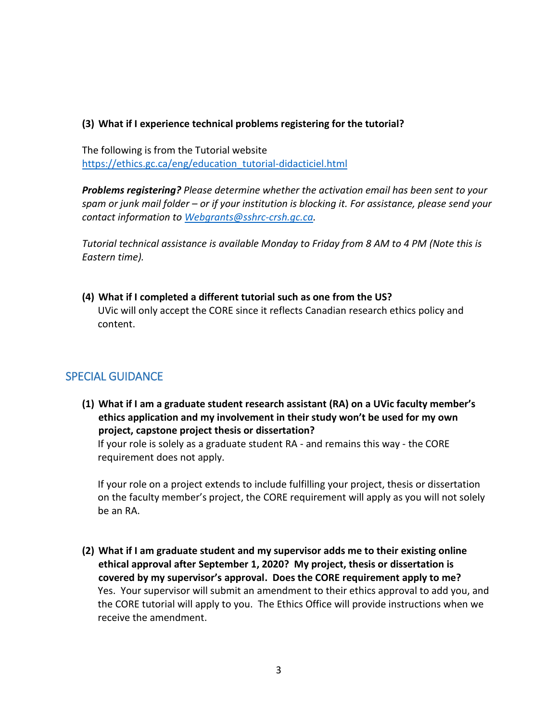#### **(3) What if I experience technical problems registering for the tutorial?**

The following is from the Tutorial website [https://ethics.gc.ca/eng/education\\_tutorial-didacticiel.html](https://ethics.gc.ca/eng/education_tutorial-didacticiel.html)

*Problems registering? Please determine whether the activation email has been sent to your spam or junk mail folder – or if your institution is blocking it. For assistance, please send your contact information to [Webgrants@sshrc-crsh.gc.ca.](mailto:Webgrants@sshrc-crsh.gc.ca)* 

*Tutorial technical assistance is available Monday to Friday from 8 AM to 4 PM (Note this is Eastern time).*

**(4) What if I completed a different tutorial such as one from the US?** UVic will only accept the CORE since it reflects Canadian research ethics policy and content.

# SPECIAL GUIDANCE

**(1) What if I am a graduate student research assistant (RA) on a UVic faculty member's ethics application and my involvement in their study won't be used for my own project, capstone project thesis or dissertation?** 

If your role is solely as a graduate student RA - and remains this way - the CORE requirement does not apply.

If your role on a project extends to include fulfilling your project, thesis or dissertation on the faculty member's project, the CORE requirement will apply as you will not solely be an RA.

**(2) What if I am graduate student and my supervisor adds me to their existing online ethical approval after September 1, 2020? My project, thesis or dissertation is covered by my supervisor's approval. Does the CORE requirement apply to me?**  Yes. Your supervisor will submit an amendment to their ethics approval to add you, and the CORE tutorial will apply to you. The Ethics Office will provide instructions when we receive the amendment.